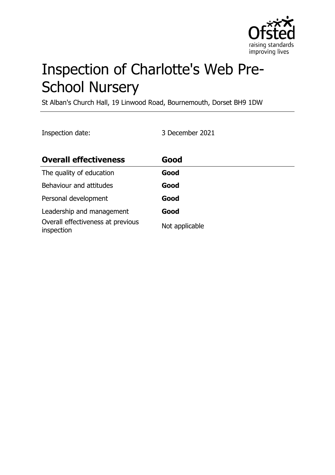

# Inspection of Charlotte's Web Pre-School Nursery

St Alban's Church Hall, 19 Linwood Road, Bournemouth, Dorset BH9 1DW

Inspection date: 3 December 2021

| <b>Overall effectiveness</b>                    | Good           |
|-------------------------------------------------|----------------|
| The quality of education                        | Good           |
| Behaviour and attitudes                         | Good           |
| Personal development                            | Good           |
| Leadership and management                       | Good           |
| Overall effectiveness at previous<br>inspection | Not applicable |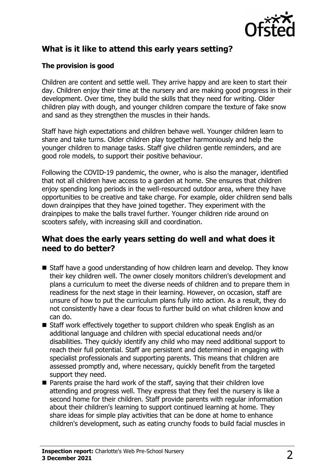

## **What is it like to attend this early years setting?**

#### **The provision is good**

Children are content and settle well. They arrive happy and are keen to start their day. Children enjoy their time at the nursery and are making good progress in their development. Over time, they build the skills that they need for writing. Older children play with dough, and younger children compare the texture of fake snow and sand as they strengthen the muscles in their hands.

Staff have high expectations and children behave well. Younger children learn to share and take turns. Older children play together harmoniously and help the younger children to manage tasks. Staff give children gentle reminders, and are good role models, to support their positive behaviour.

Following the COVID-19 pandemic, the owner, who is also the manager, identified that not all children have access to a garden at home. She ensures that children enjoy spending long periods in the well-resourced outdoor area, where they have opportunities to be creative and take charge. For example, older children send balls down drainpipes that they have joined together. They experiment with the drainpipes to make the balls travel further. Younger children ride around on scooters safely, with increasing skill and coordination.

#### **What does the early years setting do well and what does it need to do better?**

- $\blacksquare$  Staff have a good understanding of how children learn and develop. They know their key children well. The owner closely monitors children's development and plans a curriculum to meet the diverse needs of children and to prepare them in readiness for the next stage in their learning. However, on occasion, staff are unsure of how to put the curriculum plans fully into action. As a result, they do not consistently have a clear focus to further build on what children know and can do.
- $\blacksquare$  Staff work effectively together to support children who speak English as an additional language and children with special educational needs and/or disabilities. They quickly identify any child who may need additional support to reach their full potential. Staff are persistent and determined in engaging with specialist professionals and supporting parents. This means that children are assessed promptly and, where necessary, quickly benefit from the targeted support they need.
- $\blacksquare$  Parents praise the hard work of the staff, saying that their children love attending and progress well. They express that they feel the nursery is like a second home for their children. Staff provide parents with regular information about their children's learning to support continued learning at home. They share ideas for simple play activities that can be done at home to enhance children's development, such as eating crunchy foods to build facial muscles in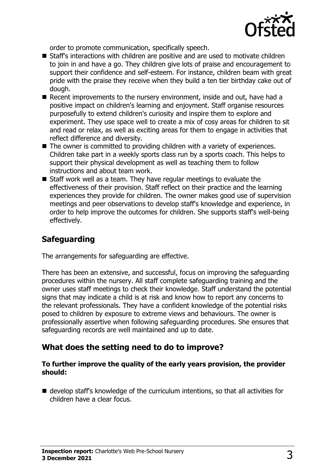

order to promote communication, specifically speech.

- Staff's interactions with children are positive and are used to motivate children to join in and have a go. They children give lots of praise and encouragement to support their confidence and self-esteem. For instance, children beam with great pride with the praise they receive when they build a ten tier birthday cake out of dough.
- $\blacksquare$  Recent improvements to the nursery environment, inside and out, have had a positive impact on children's learning and enjoyment. Staff organise resources purposefully to extend children's curiosity and inspire them to explore and experiment. They use space well to create a mix of cosy areas for children to sit and read or relax, as well as exciting areas for them to engage in activities that reflect difference and diversity.
- $\blacksquare$  The owner is committed to providing children with a variety of experiences. Children take part in a weekly sports class run by a sports coach. This helps to support their physical development as well as teaching them to follow instructions and about team work.
- $\blacksquare$  Staff work well as a team. They have regular meetings to evaluate the effectiveness of their provision. Staff reflect on their practice and the learning experiences they provide for children. The owner makes good use of supervision meetings and peer observations to develop staff's knowledge and experience, in order to help improve the outcomes for children. She supports staff's well-being effectively.

# **Safeguarding**

The arrangements for safeguarding are effective.

There has been an extensive, and successful, focus on improving the safeguarding procedures within the nursery. All staff complete safeguarding training and the owner uses staff meetings to check their knowledge. Staff understand the potential signs that may indicate a child is at risk and know how to report any concerns to the relevant professionals. They have a confident knowledge of the potential risks posed to children by exposure to extreme views and behaviours. The owner is professionally assertive when following safeguarding procedures. She ensures that safeguarding records are well maintained and up to date.

## **What does the setting need to do to improve?**

#### **To further improve the quality of the early years provision, the provider should:**

 $\blacksquare$  develop staff's knowledge of the curriculum intentions, so that all activities for children have a clear focus.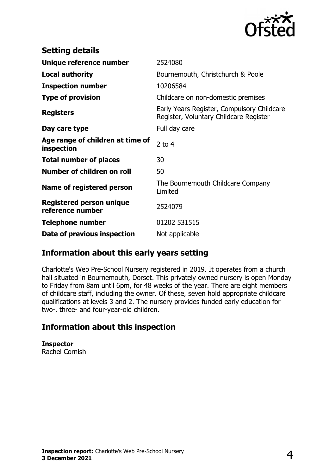

| <b>Setting details</b>                              |                                                                                      |
|-----------------------------------------------------|--------------------------------------------------------------------------------------|
| Unique reference number                             | 2524080                                                                              |
| <b>Local authority</b>                              | Bournemouth, Christchurch & Poole                                                    |
| <b>Inspection number</b>                            | 10206584                                                                             |
| <b>Type of provision</b>                            | Childcare on non-domestic premises                                                   |
| <b>Registers</b>                                    | Early Years Register, Compulsory Childcare<br>Register, Voluntary Childcare Register |
| Day care type                                       | Full day care                                                                        |
| Age range of children at time of<br>inspection      | 2 to $4$                                                                             |
| <b>Total number of places</b>                       | 30                                                                                   |
| Number of children on roll                          | 50                                                                                   |
| Name of registered person                           | The Bournemouth Childcare Company<br>Limited                                         |
| <b>Registered person unique</b><br>reference number | 2524079                                                                              |
| <b>Telephone number</b>                             | 01202 531515                                                                         |
| Date of previous inspection                         | Not applicable                                                                       |

## **Information about this early years setting**

Charlotte's Web Pre-School Nursery registered in 2019. It operates from a church hall situated in Bournemouth, Dorset. This privately owned nursery is open Monday to Friday from 8am until 6pm, for 48 weeks of the year. There are eight members of childcare staff, including the owner. Of these, seven hold appropriate childcare qualifications at levels 3 and 2. The nursery provides funded early education for two-, three- and four-year-old children.

#### **Information about this inspection**

**Inspector** Rachel Cornish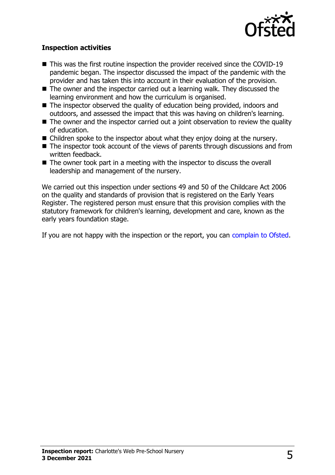

#### **Inspection activities**

- $\blacksquare$  This was the first routine inspection the provider received since the COVID-19 pandemic began. The inspector discussed the impact of the pandemic with the provider and has taken this into account in their evaluation of the provision.
- $\blacksquare$  The owner and the inspector carried out a learning walk. They discussed the learning environment and how the curriculum is organised.
- $\blacksquare$  The inspector observed the quality of education being provided, indoors and outdoors, and assessed the impact that this was having on children's learning.
- $\blacksquare$  The owner and the inspector carried out a joint observation to review the quality of education.
- $\blacksquare$  Children spoke to the inspector about what they enjoy doing at the nursery.
- $\blacksquare$  The inspector took account of the views of parents through discussions and from written feedback.
- $\blacksquare$  The owner took part in a meeting with the inspector to discuss the overall leadership and management of the nursery.

We carried out this inspection under sections 49 and 50 of the Childcare Act 2006 on the quality and standards of provision that is registered on the Early Years Register. The registered person must ensure that this provision complies with the statutory framework for children's learning, development and care, known as the early years foundation stage.

If you are not happy with the inspection or the report, you can [complain to Ofsted](http://www.gov.uk/complain-ofsted-report).